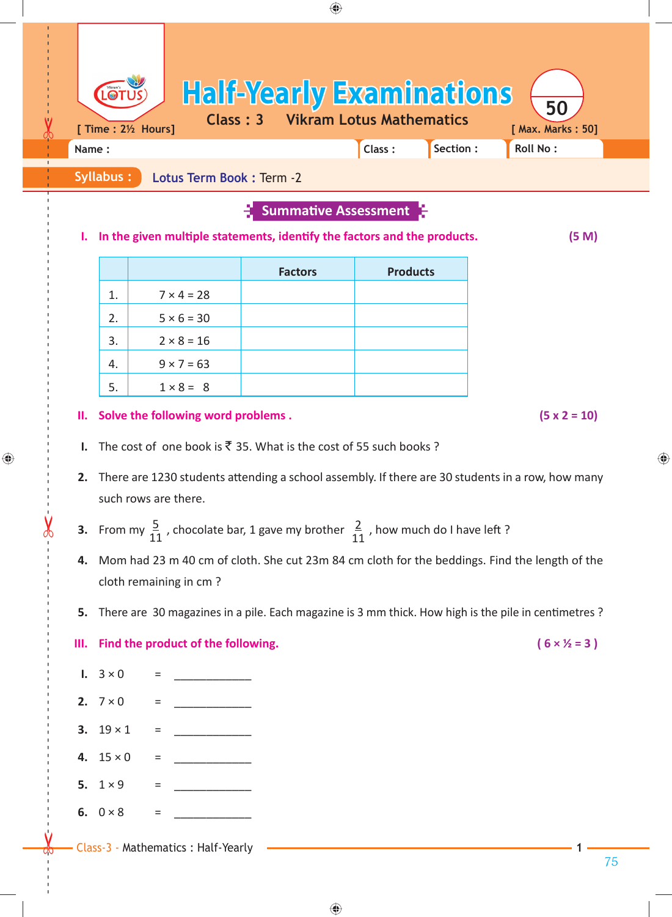|                                                                                         |                                                                                                               |                                        |                              | Section:<br>Class: | Roll No:            |  |  |
|-----------------------------------------------------------------------------------------|---------------------------------------------------------------------------------------------------------------|----------------------------------------|------------------------------|--------------------|---------------------|--|--|
| Syllabus:<br>Lotus Term Book : Term -2                                                  |                                                                                                               |                                        |                              |                    |                     |  |  |
| <b>Summative Assessment</b>                                                             |                                                                                                               |                                        |                              |                    |                     |  |  |
| In the given multiple statements, identify the factors and the products.<br>(5 M)<br>ı. |                                                                                                               |                                        |                              |                    |                     |  |  |
|                                                                                         |                                                                                                               |                                        | <b>Factors</b>               | <b>Products</b>    |                     |  |  |
|                                                                                         | 1.                                                                                                            | $7 × 4 = 28$                           |                              |                    |                     |  |  |
|                                                                                         | 2.<br>3.                                                                                                      | $5 \times 6 = 30$<br>$2 \times 8 = 16$ |                              |                    |                     |  |  |
|                                                                                         | 4.                                                                                                            | $9 \times 7 = 63$                      |                              |                    |                     |  |  |
|                                                                                         | 5.                                                                                                            | $1 \times 8 = 8$                       |                              |                    |                     |  |  |
| Ш.                                                                                      |                                                                                                               | Solve the following word problems.     |                              |                    | $(5 \times 2 = 10)$ |  |  |
| Ι.                                                                                      | The cost of one book is ₹ 35. What is the cost of 55 such books ?                                             |                                        |                              |                    |                     |  |  |
|                                                                                         | 2. There are 1230 students attending a school assembly. If there are 30 students in a row, how many           |                                        |                              |                    |                     |  |  |
|                                                                                         | such rows are there.                                                                                          |                                        |                              |                    |                     |  |  |
|                                                                                         | <b>3.</b> From my $\frac{5}{11}$ , chocolate bar, 1 gave my brother $\frac{2}{11}$ , how much do I have left? |                                        |                              |                    |                     |  |  |
| 4.                                                                                      | Mom had 23 m 40 cm of cloth. She cut 23m 84 cm cloth for the beddings. Find the length of the                 |                                        |                              |                    |                     |  |  |
|                                                                                         | cloth remaining in cm?                                                                                        |                                        |                              |                    |                     |  |  |
|                                                                                         | 5. There are 30 magazines in a pile. Each magazine is 3 mm thick. How high is the pile in centimetres?        |                                        |                              |                    |                     |  |  |
| Ш.                                                                                      |                                                                                                               | Find the product of the following.     | $(6 \times \frac{1}{2} = 3)$ |                    |                     |  |  |
| $1. \quad 3 \times 0$                                                                   |                                                                                                               | =                                      |                              |                    |                     |  |  |
| 2. $7 \times 0$                                                                         |                                                                                                               | $=$                                    |                              |                    |                     |  |  |
|                                                                                         | 3. $19 \times 1$                                                                                              | Ξ                                      |                              |                    |                     |  |  |
|                                                                                         | 4. $15 \times 0$                                                                                              | $\qquad \qquad =\qquad \qquad$         |                              |                    |                     |  |  |
|                                                                                         |                                                                                                               | Ξ                                      |                              |                    |                     |  |  |
| 5. $1 \times 9$                                                                         |                                                                                                               |                                        |                              |                    |                     |  |  |

|    |                   | <b>Factors</b> | <b>Products</b> |
|----|-------------------|----------------|-----------------|
| 1. | $7 \times 4 = 28$ |                |                 |
| 2. | $5 \times 6 = 30$ |                |                 |
| 3. | $2 \times 8 = 16$ |                |                 |
| 4. | $9 \times 7 = 63$ |                |                 |
| 5. | $1 \times 8 = 8$  |                |                 |

⊕

- **I.** The cost of one book is  $\bar{\tau}$  35. What is the cost of 55 such books ?
- **2.** There are 1230 students attending a school assembly. If there are 30 students in a row, how many such rows are there.
- **3.** From my  $\frac{5}{11}$ , chocolate bar, 1 gave my brother  $\frac{2}{11}$ , how much do I have left?
- **4.** Mom had 23 m 40 cm of cloth. She cut 23m 84 cm cloth for the beddings. Find the length of the cloth remaining in cm ?
- **5.** There are 30 magazines in a pile. Each magazine is 3 mm thick. How high is the pile in centimetres ?

## **III.** Find the product of the following.  $(6 \times \frac{1}{2})$

- **1.**  $3 \times 0 =$
- **2.**  $7 \times 0 =$
- **3.**  $19 \times 1$  =
- **4.** 15 × 0 = \_\_\_\_\_\_\_\_\_\_\_\_
- **5.** 1 × 9 = \_\_\_\_\_\_\_\_\_\_\_\_
- **6.**  $0 \times 8$  =
- Class-3 Mathematics : Half-Yearly **1**
- 
-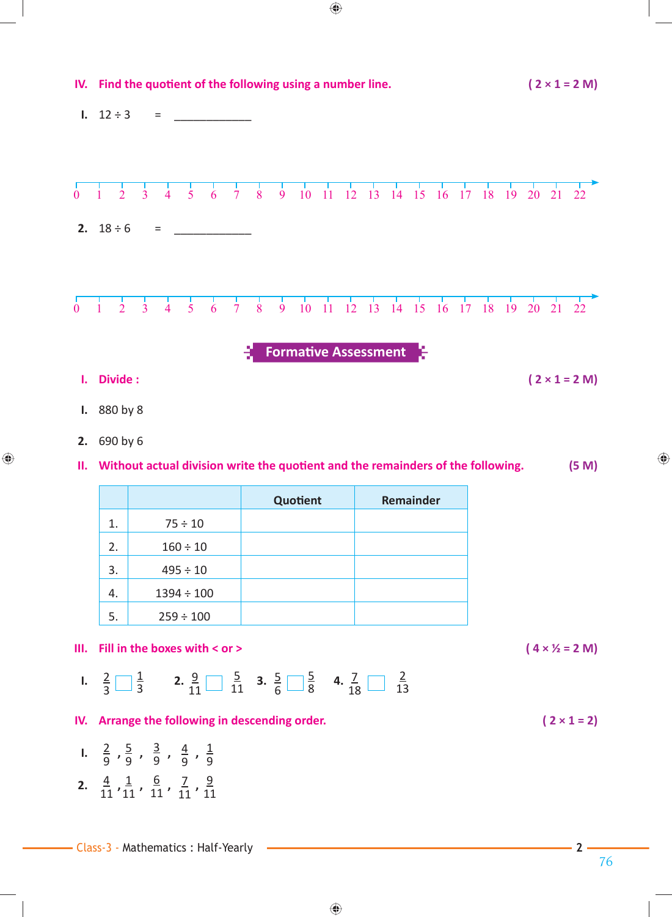

 $\bigcirc$ 

 $\bigoplus$ 

76

⊕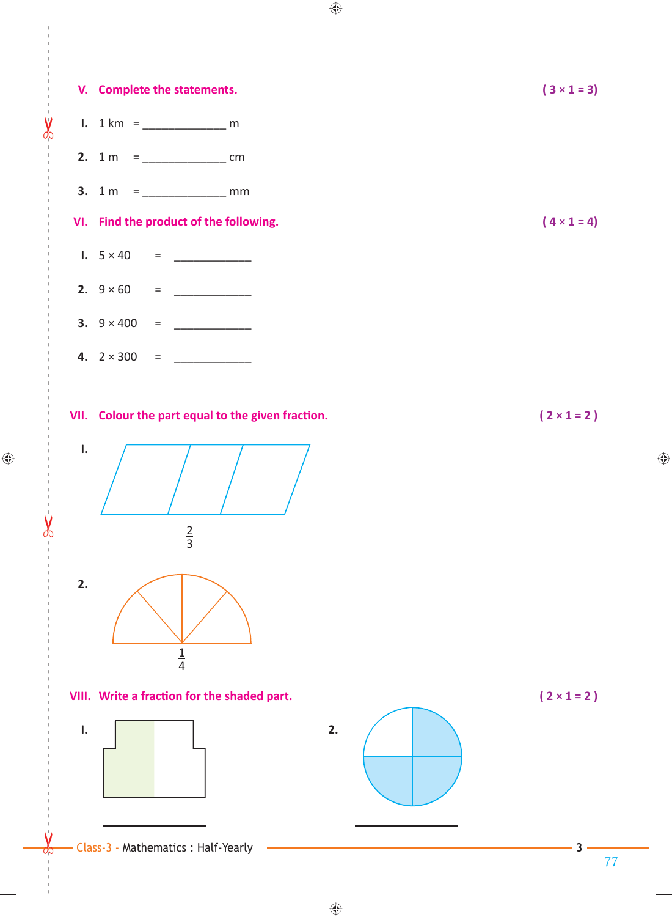

 $\bigoplus$ 

 $\bigoplus$